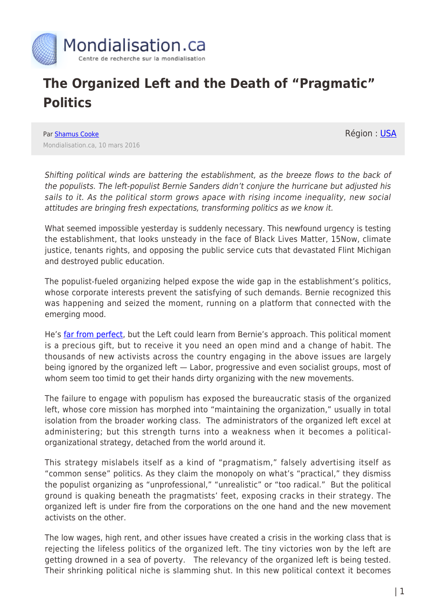

## **The Organized Left and the Death of "Pragmatic" Politics**

Par [Shamus Cooke](https://www.mondialisation.ca/author/shamus-cooke) Mondialisation.ca, 10 mars 2016 Région : [USA](https://www.mondialisation.ca/region/usa)

Shifting political winds are battering the establishment, as the breeze flows to the back of the populists. The left-populist Bernie Sanders didn't conjure the hurricane but adjusted his sails to it. As the political storm grows apace with rising income inequality, new social attitudes are bringing fresh expectations, transforming politics as we know it.

What seemed impossible yesterday is suddenly necessary. This newfound urgency is testing the establishment, that looks unsteady in the face of Black Lives Matter, 15Now, climate justice, tenants rights, and opposing the public service cuts that devastated Flint Michigan and destroyed public education.

The populist-fueled organizing helped expose the wide gap in the establishment's politics, whose corporate interests prevent the satisfying of such demands. Bernie recognized this was happening and seized the moment, running on a platform that connected with the emerging mood.

He's [far from perfect,](http://www.counterpunch.org/2016/01/05/does-bernie-sanders-imperialism-matter/) but the Left could learn from Bernie's approach. This political moment is a precious gift, but to receive it you need an open mind and a change of habit. The thousands of new activists across the country engaging in the above issues are largely being ignored by the organized left — Labor, progressive and even socialist groups, most of whom seem too timid to get their hands dirty organizing with the new movements.

The failure to engage with populism has exposed the bureaucratic stasis of the organized left, whose core mission has morphed into "maintaining the organization," usually in total isolation from the broader working class. The administrators of the organized left excel at administering; but this strength turns into a weakness when it becomes a politicalorganizational strategy, detached from the world around it.

This strategy mislabels itself as a kind of "pragmatism," falsely advertising itself as "common sense" politics. As they claim the monopoly on what's "practical," they dismiss the populist organizing as "unprofessional," "unrealistic" or "too radical." But the political ground is quaking beneath the pragmatists' feet, exposing cracks in their strategy. The organized left is under fire from the corporations on the one hand and the new movement activists on the other.

The low wages, high rent, and other issues have created a crisis in the working class that is rejecting the lifeless politics of the organized left. The tiny victories won by the left are getting drowned in a sea of poverty. The relevancy of the organized left is being tested. Their shrinking political niche is slamming shut. In this new political context it becomes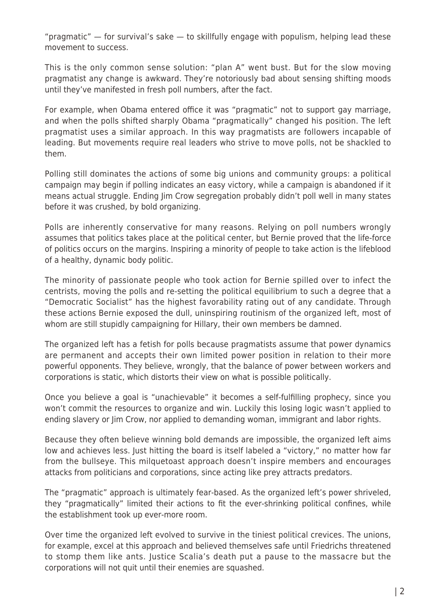"pragmatic"  $-$  for survival's sake  $-$  to skillfully engage with populism, helping lead these movement to success.

This is the only common sense solution: "plan A" went bust. But for the slow moving pragmatist any change is awkward. They're notoriously bad about sensing shifting moods until they've manifested in fresh poll numbers, after the fact.

For example, when Obama entered office it was "pragmatic" not to support gay marriage, and when the polls shifted sharply Obama "pragmatically" changed his position. The left pragmatist uses a similar approach. In this way pragmatists are followers incapable of leading. But movements require real leaders who strive to move polls, not be shackled to them.

Polling still dominates the actions of some big unions and community groups: a political campaign may begin if polling indicates an easy victory, while a campaign is abandoned if it means actual struggle. Ending Jim Crow segregation probably didn't poll well in many states before it was crushed, by bold organizing.

Polls are inherently conservative for many reasons. Relying on poll numbers wrongly assumes that politics takes place at the political center, but Bernie proved that the life-force of politics occurs on the margins. Inspiring a minority of people to take action is the lifeblood of a healthy, dynamic body politic.

The minority of passionate people who took action for Bernie spilled over to infect the centrists, moving the polls and re-setting the political equilibrium to such a degree that a "Democratic Socialist" has the highest favorability rating out of any candidate. Through these actions Bernie exposed the dull, uninspiring routinism of the organized left, most of whom are still stupidly campaigning for Hillary, their own members be damned.

The organized left has a fetish for polls because pragmatists assume that power dynamics are permanent and accepts their own limited power position in relation to their more powerful opponents. They believe, wrongly, that the balance of power between workers and corporations is static, which distorts their view on what is possible politically.

Once you believe a goal is "unachievable" it becomes a self-fulfilling prophecy, since you won't commit the resources to organize and win. Luckily this losing logic wasn't applied to ending slavery or Jim Crow, nor applied to demanding woman, immigrant and labor rights.

Because they often believe winning bold demands are impossible, the organized left aims low and achieves less. Just hitting the board is itself labeled a "victory," no matter how far from the bullseye. This milquetoast approach doesn't inspire members and encourages attacks from politicians and corporations, since acting like prey attracts predators.

The "pragmatic" approach is ultimately fear-based. As the organized left's power shriveled, they "pragmatically" limited their actions to fit the ever-shrinking political confines, while the establishment took up ever-more room.

Over time the organized left evolved to survive in the tiniest political crevices. The unions, for example, excel at this approach and believed themselves safe until Friedrichs threatened to stomp them like ants. Justice Scalia's death put a pause to the massacre but the corporations will not quit until their enemies are squashed.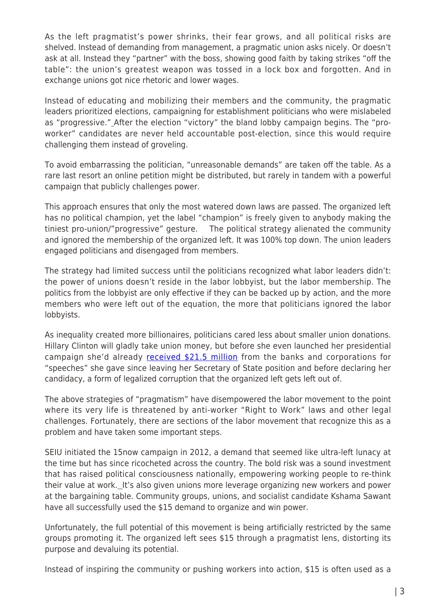As the left pragmatist's power shrinks, their fear grows, and all political risks are shelved. Instead of demanding from management, a pragmatic union asks nicely. Or doesn't ask at all. Instead they "partner" with the boss, showing good faith by taking strikes "off the table": the union's greatest weapon was tossed in a lock box and forgotten. And in exchange unions got nice rhetoric and lower wages.

Instead of educating and mobilizing their members and the community, the pragmatic leaders prioritized elections, campaigning for establishment politicians who were mislabeled as "progressive." After the election "victory" the bland lobby campaign begins. The "proworker" candidates are never held accountable post-election, since this would require challenging them instead of groveling.

To avoid embarrassing the politician, "unreasonable demands" are taken off the table. As a rare last resort an online petition might be distributed, but rarely in tandem with a powerful campaign that publicly challenges power.

This approach ensures that only the most watered down laws are passed. The organized left has no political champion, yet the label "champion" is freely given to anybody making the tiniest pro-union/"progressive" gesture. The political strategy alienated the community and ignored the membership of the organized left. It was 100% top down. The union leaders engaged politicians and disengaged from members.

The strategy had limited success until the politicians recognized what labor leaders didn't: the power of unions doesn't reside in the labor lobbyist, but the labor membership. The politics from the lobbyist are only effective if they can be backed up by action, and the more members who were left out of the equation, the more that politicians ignored the labor lobbyists.

As inequality created more billionaires, politicians cared less about smaller union donations. Hillary Clinton will gladly take union money, but before she even launched her presidential campaign she'd already [received \\$21.5 million](http://www.zerohedge.com/sites/default/files/images/user5/imageroot/2015/08/Hillary%20Clinton%20Speeches%202013-2015_1.jpg) from the banks and corporations for "speeches" she gave since leaving her Secretary of State position and before declaring her candidacy, a form of legalized corruption that the organized left gets left out of.

The above strategies of "pragmatism" have disempowered the labor movement to the point where its very life is threatened by anti-worker "Right to Work" laws and other legal challenges. Fortunately, there are sections of the labor movement that recognize this as a problem and have taken some important steps.

SEIU initiated the 15now campaign in 2012, a demand that seemed like ultra-left lunacy at the time but has since ricocheted across the country. The bold risk was a sound investment that has raised political consciousness nationally, empowering working people to re-think their value at work. It's also given unions more leverage organizing new workers and power at the bargaining table. Community groups, unions, and socialist candidate Kshama Sawant have all successfully used the \$15 demand to organize and win power.

Unfortunately, the full potential of this movement is being artificially restricted by the same groups promoting it. The organized left sees \$15 through a pragmatist lens, distorting its purpose and devaluing its potential.

Instead of inspiring the community or pushing workers into action, \$15 is often used as a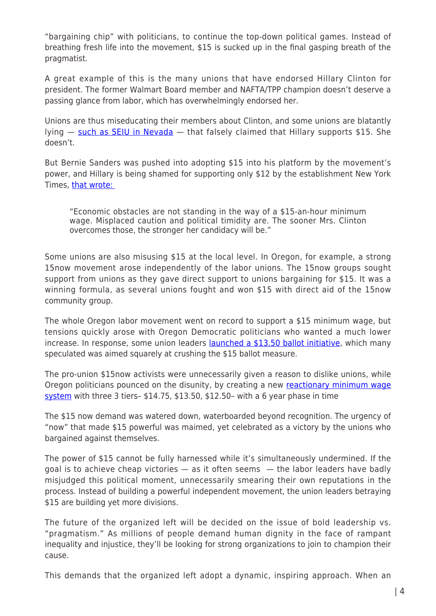"bargaining chip" with politicians, to continue the top-down political games. Instead of breathing fresh life into the movement, \$15 is sucked up in the final gasping breath of the pragmatist.

A great example of this is the many unions that have endorsed Hillary Clinton for president. The former Walmart Board member and NAFTA/TPP champion doesn't deserve a passing glance from labor, which has overwhelmingly endorsed her.

Unions are thus miseducating their members about Clinton, and some unions are blatantly lying — [such as SEIU in Nevada](http://www.politico.com/blogs/2016-dem-primary-live-updates-and-results/2016/02/hillary-clinton-service-employees-international-union-219541#ixzz41IVdglLC) — that falsely claimed that Hillary supports \$15. She doesn't.

But Bernie Sanders was pushed into adopting \$15 into his platform by the movement's power, and Hillary is being shamed for supporting only \$12 by the establishment New York Times, [that wrote:](http://www.nytimes.com/2016/02/17/opinion/hillary-clinton-should-just-say-yes-to-a-15-minimum-wage.html?_r=0) 

"Economic obstacles are not standing in the way of a \$15-an-hour minimum wage. Misplaced caution and political timidity are. The sooner Mrs. Clinton overcomes those, the stronger her candidacy will be."

Some unions are also misusing \$15 at the local level. In Oregon, for example, a strong 15now movement arose independently of the labor unions. The 15now groups sought support from unions as they gave direct support to unions bargaining for \$15. It was a winning formula, as several unions fought and won \$15 with direct aid of the 15now community group.

The whole Oregon labor movement went on record to support a \$15 minimum wage, but tensions quickly arose with Oregon Democratic politicians who wanted a much lower increase. In response, some union leaders [launched a \\$13.50 ballot initiative](http://www.oregonlive.com/mapes/index.ssf/2015/07/minimum_wage_should_it_be_1350.html), which many speculated was aimed squarely at crushing the \$15 ballot measure.

The pro-union \$15now activists were unnecessarily given a reason to dislike unions, while Oregon politicians pounced on the disunity, by creating a new [reactionary minimum wage](http://abcnews.go.com/US/wireStory/oregon-lawmakers-approve-landmark-minimum-wage-increase-37048787) [system](http://abcnews.go.com/US/wireStory/oregon-lawmakers-approve-landmark-minimum-wage-increase-37048787) with three 3 tiers– \$14.75, \$13.50, \$12.50– with a 6 year phase in time

The \$15 now demand was watered down, waterboarded beyond recognition. The urgency of "now" that made \$15 powerful was maimed, yet celebrated as a victory by the unions who bargained against themselves.

The power of \$15 cannot be fully harnessed while it's simultaneously undermined. If the goal is to achieve cheap victories  $-$  as it often seems  $-$  the labor leaders have badly misjudged this political moment, unnecessarily smearing their own reputations in the process. Instead of building a powerful independent movement, the union leaders betraying \$15 are building yet more divisions.

The future of the organized left will be decided on the issue of bold leadership vs. "pragmatism." As millions of people demand human dignity in the face of rampant inequality and injustice, they'll be looking for strong organizations to join to champion their cause.

This demands that the organized left adopt a dynamic, inspiring approach. When an